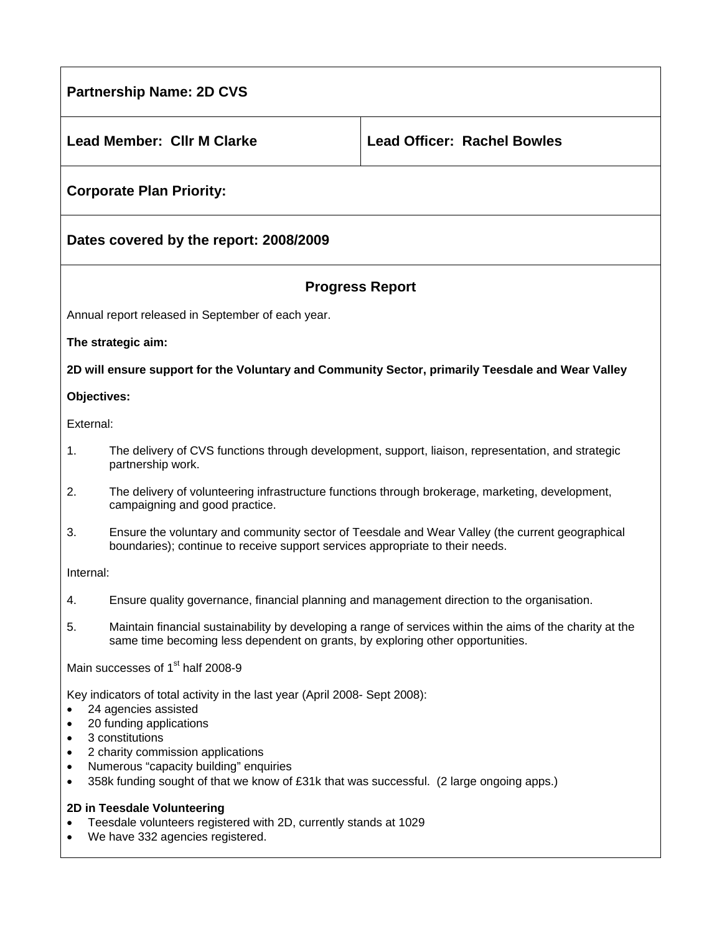| <b>Partnership Name: 2D CVS</b>                                                                                                                                                                                                                                                                                                                                                 |                                                                                                                                                                                             |                                    |
|---------------------------------------------------------------------------------------------------------------------------------------------------------------------------------------------------------------------------------------------------------------------------------------------------------------------------------------------------------------------------------|---------------------------------------------------------------------------------------------------------------------------------------------------------------------------------------------|------------------------------------|
|                                                                                                                                                                                                                                                                                                                                                                                 | <b>Lead Member: Cllr M Clarke</b>                                                                                                                                                           | <b>Lead Officer: Rachel Bowles</b> |
| <b>Corporate Plan Priority:</b>                                                                                                                                                                                                                                                                                                                                                 |                                                                                                                                                                                             |                                    |
| Dates covered by the report: 2008/2009                                                                                                                                                                                                                                                                                                                                          |                                                                                                                                                                                             |                                    |
| <b>Progress Report</b>                                                                                                                                                                                                                                                                                                                                                          |                                                                                                                                                                                             |                                    |
| Annual report released in September of each year.                                                                                                                                                                                                                                                                                                                               |                                                                                                                                                                                             |                                    |
| The strategic aim:                                                                                                                                                                                                                                                                                                                                                              |                                                                                                                                                                                             |                                    |
| 2D will ensure support for the Voluntary and Community Sector, primarily Teesdale and Wear Valley                                                                                                                                                                                                                                                                               |                                                                                                                                                                                             |                                    |
| Objectives:                                                                                                                                                                                                                                                                                                                                                                     |                                                                                                                                                                                             |                                    |
| External:                                                                                                                                                                                                                                                                                                                                                                       |                                                                                                                                                                                             |                                    |
| 1.                                                                                                                                                                                                                                                                                                                                                                              | The delivery of CVS functions through development, support, liaison, representation, and strategic<br>partnership work.                                                                     |                                    |
| 2.                                                                                                                                                                                                                                                                                                                                                                              | The delivery of volunteering infrastructure functions through brokerage, marketing, development,<br>campaigning and good practice.                                                          |                                    |
| 3.                                                                                                                                                                                                                                                                                                                                                                              | Ensure the voluntary and community sector of Teesdale and Wear Valley (the current geographical<br>boundaries); continue to receive support services appropriate to their needs.            |                                    |
| Internal:                                                                                                                                                                                                                                                                                                                                                                       |                                                                                                                                                                                             |                                    |
| 4.                                                                                                                                                                                                                                                                                                                                                                              | Ensure quality governance, financial planning and management direction to the organisation.                                                                                                 |                                    |
| 5.                                                                                                                                                                                                                                                                                                                                                                              | Maintain financial sustainability by developing a range of services within the aims of the charity at the<br>same time becoming less dependent on grants, by exploring other opportunities. |                                    |
| Main successes of 1 <sup>st</sup> half 2008-9                                                                                                                                                                                                                                                                                                                                   |                                                                                                                                                                                             |                                    |
| Key indicators of total activity in the last year (April 2008- Sept 2008):<br>24 agencies assisted<br>20 funding applications<br>3 constitutions<br>$\bullet$<br>2 charity commission applications<br>$\bullet$<br>Numerous "capacity building" enquiries<br>$\bullet$<br>358k funding sought of that we know of £31k that was successful. (2 large ongoing apps.)<br>$\bullet$ |                                                                                                                                                                                             |                                    |
| 2D in Teesdale Volunteering<br>Teesdale volunteers registered with 2D, currently stands at 1029                                                                                                                                                                                                                                                                                 |                                                                                                                                                                                             |                                    |

• We have 332 agencies registered.